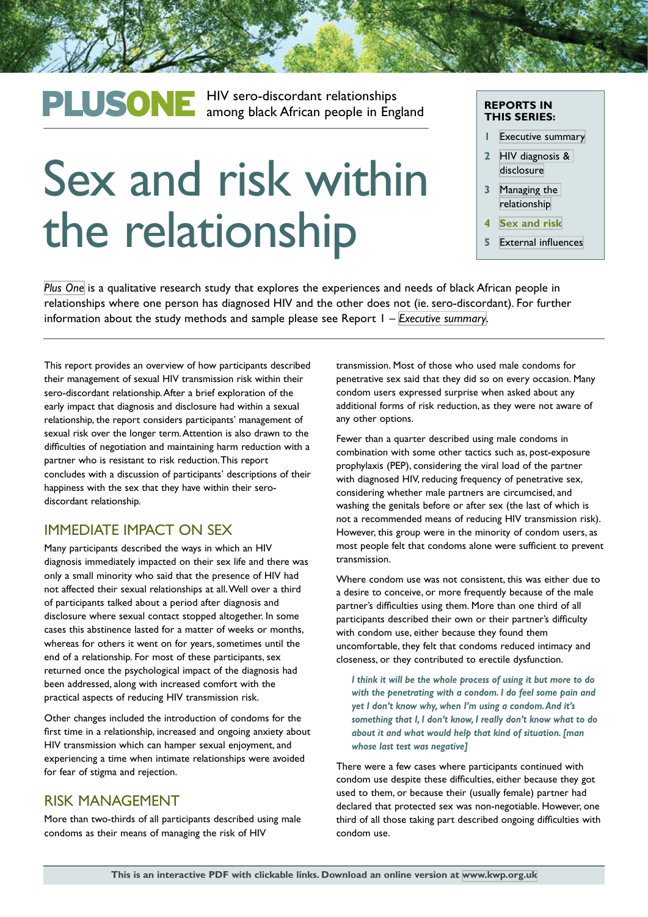## PLUSONE HIV sero-discordant relationships<br>
among black African people in England

# Sex and risk within the relationship

#### **REPORTS IN THIS SERIES:**

- **1** [Executive summary](http://kwp.org.uk/files/PlusOne-Executive-Summary.pdf)
- **2** [HIV diagnosis &](http://kwp.org.uk/files/plusone_diagnosis_and_disclosure.pdf)  [disclosure](http://kwp.org.uk/files/plusone_diagnosis_and_disclosure.pdf)
- **3** [Managing the](http://kwp.org.uk/files/PlusOne-Managing-the-relationship.pdf)  [relationship](http://kwp.org.uk/files/PlusOne-Managing-the-relationship.pdf)
- **4 [Sex and risk](http://kwp.org.uk/files/PlusOne-Sex-and-risk.pdf)**
- **5** [External influences](http://kwp.org.uk/files/PlusOne-External-influences.pdf)

*[Plus One](http://kwp.org.uk/planning/plusone)* is a qualitative research study that explores the experiences and needs of black African people in relationships where one person has diagnosed HIV and the other does not (ie. sero-discordant). For further information about the study methods and sample please see Report 1 – *[Executive summary](http://kwp.org.uk/files/PlusOne-Executive-Summary.pdf)*.

This report provides an overview of how participants described their management of sexual HIV transmission risk within their sero-discordant relationship. After a brief exploration of the early impact that diagnosis and disclosure had within a sexual relationship, the report considers participants' management of sexual risk over the longer term. Attention is also drawn to the difficulties of negotiation and maintaining harm reduction with a partner who is resistant to risk reduction. This report concludes with a discussion of participants' descriptions of their happiness with the sex that they have within their serodiscordant relationship.

#### IMMEDIATE IMPACT ON SEX

Many participants described the ways in which an HIV diagnosis immediately impacted on their sex life and there was only a small minority who said that the presence of HIV had not affected their sexual relationships at all. Well over a third of participants talked about a period after diagnosis and disclosure where sexual contact stopped altogether. In some cases this abstinence lasted for a matter of weeks or months, whereas for others it went on for years, sometimes until the end of a relationship. For most of these participants, sex returned once the psychological impact of the diagnosis had been addressed, along with increased comfort with the practical aspects of reducing HIV transmission risk.

Other changes included the introduction of condoms for the first time in a relationship, increased and ongoing anxiety about HIV transmission which can hamper sexual enjoyment, and experiencing a time when intimate relationships were avoided for fear of stigma and rejection.

#### RISK MANAGEMENT

More than two-thirds of all participants described using male condoms as their means of managing the risk of HIV

transmission. Most of those who used male condoms for penetrative sex said that they did so on every occasion. Many condom users expressed surprise when asked about any additional forms of risk reduction, as they were not aware of any other options.

Fewer than a quarter described using male condoms in combination with some other tactics such as, post-exposure prophylaxis (PEP), considering the viral load of the partner with diagnosed HIV, reducing frequency of penetrative sex, considering whether male partners are circumcised, and washing the genitals before or after sex (the last of which is not a recommended means of reducing HIV transmission risk). However, this group were in the minority of condom users, as most people felt that condoms alone were sufficient to prevent transmission.

Where condom use was not consistent, this was either due to a desire to conceive, or more frequently because of the male partner's difficulties using them. More than one third of all participants described their own or their partner's difficulty with condom use, either because they found them uncomfortable, they felt that condoms reduced intimacy and closeness, or they contributed to erectile dysfunction.

*I think it will be the whole process of using it but more to do with the penetrating with a condom. I do feel some pain and yet I don't know why, when I'm using a condom. And it's something that I, I don't know, I really don't know what to do about it and what would help that kind of situation. [man whose last test was negative]*

There were a few cases where participants continued with condom use despite these difficulties, either because they got used to them, or because their (usually female) partner had declared that protected sex was non-negotiable. However, one third of all those taking part described ongoing difficulties with condom use.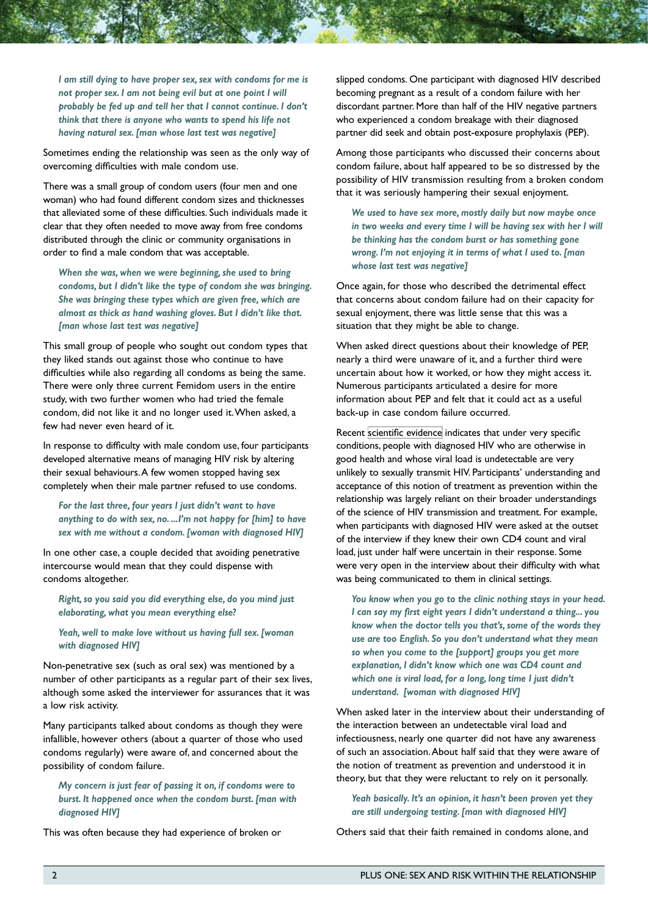*I am still dying to have proper sex, sex with condoms for me is not proper sex. I am not being evil but at one point I will probably be fed up and tell her that I cannot continue. I don't think that there is anyone who wants to spend his life not having natural sex. [man whose last test was negative]*

Sometimes ending the relationship was seen as the only way of overcoming difficulties with male condom use.

There was a small group of condom users (four men and one woman) who had found different condom sizes and thicknesses that alleviated some of these difficulties. Such individuals made it clear that they often needed to move away from free condoms distributed through the clinic or community organisations in order to find a male condom that was acceptable.

*When she was, when we were beginning, she used to bring condoms, but I didn't like the type of condom she was bringing. She was bringing these types which are given free, which are almost as thick as hand washing gloves. But I didn't like that. [man whose last test was negative]*

This small group of people who sought out condom types that they liked stands out against those who continue to have difficulties while also regarding all condoms as being the same. There were only three current Femidom users in the entire study, with two further women who had tried the female condom, did not like it and no longer used it. When asked, a few had never even heard of it.

In response to difficulty with male condom use, four participants developed alternative means of managing HIV risk by altering their sexual behaviours. A few women stopped having sex completely when their male partner refused to use condoms.

*For the last three, four years I just didn't want to have anything to do with sex, no. ...I'm not happy for [him] to have sex with me without a condom. [woman with diagnosed HIV]*

In one other case, a couple decided that avoiding penetrative intercourse would mean that they could dispense with condoms altogether.

*Right, so you said you did everything else, do you mind just elaborating, what you mean everything else?*

*Yeah, well to make love without us having full sex. [woman with diagnosed HIV]*

Non-penetrative sex (such as oral sex) was mentioned by a number of other participants as a regular part of their sex lives, although some asked the interviewer for assurances that it was a low risk activity.

Many participants talked about condoms as though they were infallible, however others (about a quarter of those who used condoms regularly) were aware of, and concerned about the possibility of condom failure.

*My concern is just fear of passing it on, if condoms were to burst. It happened once when the condom burst. [man with diagnosed HIV]*

This was often because they had experience of broken or

slipped condoms. One participant with diagnosed HIV described becoming pregnant as a result of a condom failure with her discordant partner. More than half of the HIV negative partners who experienced a condom breakage with their diagnosed partner did seek and obtain post-exposure prophylaxis (PEP).

Among those participants who discussed their concerns about condom failure, about half appeared to be so distressed by the possibility of HIV transmission resulting from a broken condom that it was seriously hampering their sexual enjoyment.

*We used to have sex more, mostly daily but now maybe once*  in two weeks and every time I will be having sex with her I will *be thinking has the condom burst or has something gone wrong. I'm not enjoying it in terms of what I used to. [man whose last test was negative]*

Once again, for those who described the detrimental effect that concerns about condom failure had on their capacity for sexual enjoyment, there was little sense that this was a situation that they might be able to change.

When asked direct questions about their knowledge of PEP, nearly a third were unaware of it, and a further third were uncertain about how it worked, or how they might access it. Numerous participants articulated a desire for more information about PEP and felt that it could act as a useful back-up in case condom failure occurred.

Recent [scientific evidence](http://www.aidsmap.com/Treatment-as-prevention/cat/1624/) indicates that under very specific conditions, people with diagnosed HIV who are otherwise in good health and whose viral load is undetectable are very unlikely to sexually transmit HIV. Participants' understanding and acceptance of this notion of treatment as prevention within the relationship was largely reliant on their broader understandings of the science of HIV transmission and treatment. For example, when participants with diagnosed HIV were asked at the outset of the interview if they knew their own CD4 count and viral load, just under half were uncertain in their response. Some were very open in the interview about their difficulty with what was being communicated to them in clinical settings.

*You know when you go to the clinic nothing stays in your head. I can say my first eight years I didn't understand a thing... you know when the doctor tells you that's, some of the words they use are too English. So you don't understand what they mean so when you come to the [support] groups you get more explanation, I didn't know which one was CD4 count and which one is viral load, for a long, long time I just didn't understand. [woman with diagnosed HIV]*

When asked later in the interview about their understanding of the interaction between an undetectable viral load and infectiousness, nearly one quarter did not have any awareness of such an association. About half said that they were aware of the notion of treatment as prevention and understood it in theory, but that they were reluctant to rely on it personally.

*Yeah basically. It's an opinion, it hasn't been proven yet they are still undergoing testing. [man with diagnosed HIV]*

Others said that their faith remained in condoms alone, and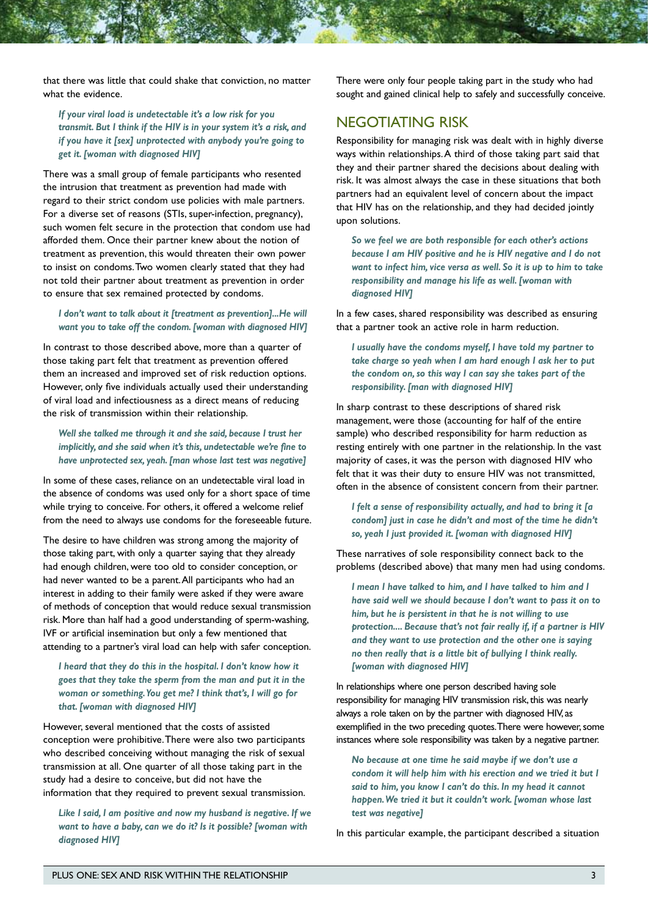that there was little that could shake that conviction, no matter what the evidence.

*If your viral load is undetectable it's a low risk for you transmit. But I think if the HIV is in your system it's a risk, and if you have it [sex] unprotected with anybody you're going to get it. [woman with diagnosed HIV]*

There was a small group of female participants who resented the intrusion that treatment as prevention had made with regard to their strict condom use policies with male partners. For a diverse set of reasons (STIs, super-infection, pregnancy), such women felt secure in the protection that condom use had afforded them. Once their partner knew about the notion of treatment as prevention, this would threaten their own power to insist on condoms. Two women clearly stated that they had not told their partner about treatment as prevention in order to ensure that sex remained protected by condoms.

*I don't want to talk about it [treatment as prevention]...He will want you to take off the condom. [woman with diagnosed HIV]*

In contrast to those described above, more than a quarter of those taking part felt that treatment as prevention offered them an increased and improved set of risk reduction options. However, only five individuals actually used their understanding of viral load and infectiousness as a direct means of reducing the risk of transmission within their relationship.

*Well she talked me through it and she said, because I trust her implicitly, and she said when it's this, undetectable we're fine to have unprotected sex, yeah. [man whose last test was negative]*

In some of these cases, reliance on an undetectable viral load in the absence of condoms was used only for a short space of time while trying to conceive. For others, it offered a welcome relief from the need to always use condoms for the foreseeable future.

The desire to have children was strong among the majority of those taking part, with only a quarter saying that they already had enough children, were too old to consider conception, or had never wanted to be a parent. All participants who had an interest in adding to their family were asked if they were aware of methods of conception that would reduce sexual transmission risk. More than half had a good understanding of sperm-washing, IVF or artificial insemination but only a few mentioned that attending to a partner's viral load can help with safer conception.

*I heard that they do this in the hospital. I don't know how it goes that they take the sperm from the man and put it in the woman or something. You get me? I think that's, I will go for that. [woman with diagnosed HIV]*

However, several mentioned that the costs of assisted conception were prohibitive. There were also two participants who described conceiving without managing the risk of sexual transmission at all. One quarter of all those taking part in the study had a desire to conceive, but did not have the information that they required to prevent sexual transmission.

*Like I said, I am positive and now my husband is negative. If we want to have a baby, can we do it? Is it possible? [woman with diagnosed HIV]*

There were only four people taking part in the study who had sought and gained clinical help to safely and successfully conceive.

#### NEGOTIATING RISK

Responsibility for managing risk was dealt with in highly diverse ways within relationships. A third of those taking part said that they and their partner shared the decisions about dealing with risk. It was almost always the case in these situations that both partners had an equivalent level of concern about the impact that HIV has on the relationship, and they had decided jointly upon solutions.

*So we feel we are both responsible for each other's actions because I am HIV positive and he is HIV negative and I do not want to infect him, vice versa as well. So it is up to him to take responsibility and manage his life as well. [woman with diagnosed HIV]*

In a few cases, shared responsibility was described as ensuring that a partner took an active role in harm reduction.

*I usually have the condoms myself, I have told my partner to take charge so yeah when I am hard enough I ask her to put the condom on, so this way I can say she takes part of the responsibility. [man with diagnosed HIV]*

In sharp contrast to these descriptions of shared risk management, were those (accounting for half of the entire sample) who described responsibility for harm reduction as resting entirely with one partner in the relationship. In the vast majority of cases, it was the person with diagnosed HIV who felt that it was their duty to ensure HIV was not transmitted, often in the absence of consistent concern from their partner.

*I felt a sense of responsibility actually, and had to bring it [a condom] just in case he didn't and most of the time he didn't so, yeah I just provided it. [woman with diagnosed HIV]*

These narratives of sole responsibility connect back to the problems (described above) that many men had using condoms.

*I mean I have talked to him, and I have talked to him and I have said well we should because I don't want to pass it on to him, but he is persistent in that he is not willing to use protection.... Because that's not fair really if, if a partner is HIV and they want to use protection and the other one is saying no then really that is a little bit of bullying I think really. [woman with diagnosed HIV]*

In relationships where one person described having sole responsibility for managing HIV transmission risk, this was nearly always a role taken on by the partner with diagnosed HIV, as exemplified in the two preceding quotes. There were however, some instances where sole responsibility was taken by a negative partner.

*No because at one time he said maybe if we don't use a condom it will help him with his erection and we tried it but I said to him, you know I can't do this. In my head it cannot happen. We tried it but it couldn't work. [woman whose last test was negative]*

In this particular example, the participant described a situation